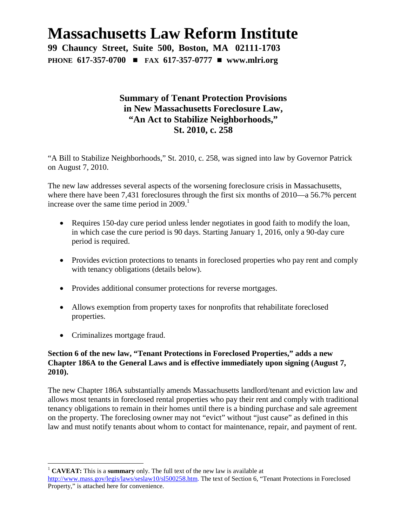# **Massachusetts Law Reform Institute**

**99 Chauncy Street, Suite 500, Boston, MA 02111-1703 PHONE 617-357-0700** # **FAX 617-357-0777** # **www.mlri.org**

# **Summary of Tenant Protection Provisions in New Massachusetts Foreclosure Law, "An Act to Stabilize Neighborhoods," St. 2010, c. 258**

"A Bill to Stabilize Neighborhoods," St. 2010, c. 258, was signed into law by Governor Patrick on August 7, 2010.

The new law addresses several aspects of the worsening foreclosure crisis in Massachusetts, where there have been 7,431 foreclosures through the first six months of 2010—a 56.7% percent increaseover the same time period in  $2009$ [.](#page-0-0)<sup>1</sup>

- Requires 150-day cure period unless lender negotiates in good faith to modify the loan, in which case the cure period is 90 days. Starting January 1, 2016, only a 90-day cure period is required.
- Provides eviction protections to tenants in foreclosed properties who pay rent and comply with tenancy obligations (details below).
- Provides additional consumer protections for reverse mortgages.
- Allows exemption from property taxes for nonprofits that rehabilitate foreclosed properties.
- Criminalizes mortgage fraud.

#### **Section 6 of the new law, "Tenant Protections in Foreclosed Properties," adds a new Chapter 186A to the General Laws and is effective immediately upon signing (August 7, 2010).**

The new Chapter 186A substantially amends Massachusetts landlord/tenant and eviction law and allows most tenants in foreclosed rental properties who pay their rent and comply with traditional tenancy obligations to remain in their homes until there is a binding purchase and sale agreement on the property. The foreclosing owner may not "evict" without "just cause" as defined in this law and must notify tenants about whom to contact for maintenance, repair, and payment of rent.

<span id="page-0-0"></span><sup>1</sup> **CAVEAT:** This is a **summary** only. The full text of the new law is available at

http://www.mass.gov/legis/laws/seslaw10/sl500258.htm. The text of Section 6, "Tenant Protections in Foreclosed Property," is attached here for convenience.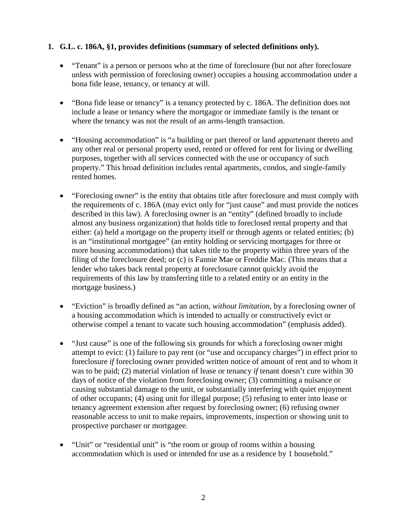#### **1. G.L. c. 186A, §1, provides definitions (summary of selected definitions only).**

- "Tenant" is a person or persons who at the time of foreclosure (but not after foreclosure unless with permission of foreclosing owner) occupies a housing accommodation under a bona fide lease, tenancy, or tenancy at will.
- "Bona fide lease or tenancy" is a tenancy protected by c. 186A. The definition does not include a lease or tenancy where the mortgagor or immediate family is the tenant or where the tenancy was not the result of an arms-length transaction.
- "Housing accommodation" is "a building or part thereof or land appurtenant thereto and any other real or personal property used, rented or offered for rent for living or dwelling purposes, together with all services connected with the use or occupancy of such property." This broad definition includes rental apartments, condos, and single-family rented homes.
- "Foreclosing owner" is the entity that obtains title after foreclosure and must comply with the requirements of c. 186A (may evict only for "just cause" and must provide the notices described in this law). A foreclosing owner is an "entity" (defined broadly to include almost any business organization) that holds title to foreclosed rental property and that either: (a) held a mortgage on the property itself or through agents or related entities; (b) is an "institutional mortgagee" (an entity holding or servicing mortgages for three or more housing accommodations) that takes title to the property within three years of the filing of the foreclosure deed; or (c) is Fannie Mae or Freddie Mac. (This means that a lender who takes back rental property at foreclosure cannot quickly avoid the requirements of this law by transferring title to a related entity or an entity in the mortgage business.)
- "Eviction" is broadly defined as "an action, *without limitation*, by a foreclosing owner of a housing accommodation which is intended to actually or constructively evict or otherwise compel a tenant to vacate such housing accommodation" (emphasis added).
- "Just cause" is one of the following six grounds for which a foreclosing owner might attempt to evict: (1) failure to pay rent (or "use and occupancy charges") in effect prior to foreclosure *if* foreclosing owner provided written notice of amount of rent and to whom it was to be paid; (2) material violation of lease or tenancy *if* tenant doesn't cure within 30 days of notice of the violation from foreclosing owner; (3) committing a nuisance or causing substantial damage to the unit, or substantially interfering with quiet enjoyment of other occupants; (4) using unit for illegal purpose; (5) refusing to enter into lease or tenancy agreement extension after request by foreclosing owner; (6) refusing owner reasonable access to unit to make repairs, improvements, inspection or showing unit to prospective purchaser or mortgagee.
- "Unit" or "residential unit" is "the room or group of rooms within a housing accommodation which is used or intended for use as a residence by 1 household."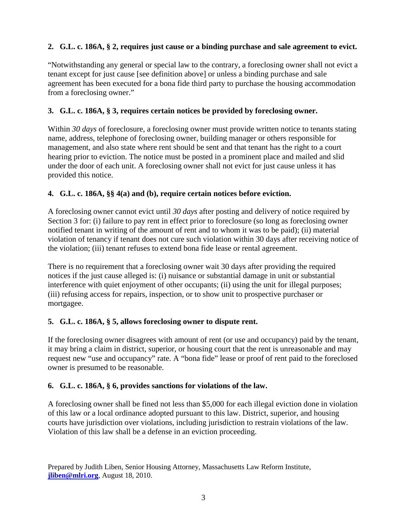### **2. G.L. c. 186A, § 2, requires just cause or a binding purchase and sale agreement to evict.**

"Notwithstanding any general or special law to the contrary, a foreclosing owner shall not evict a tenant except for just cause [see definition above] or unless a binding purchase and sale agreement has been executed for a bona fide third party to purchase the housing accommodation from a foreclosing owner."

#### **3. G.L. c. 186A, § 3, requires certain notices be provided by foreclosing owner.**

Within 30 days of foreclosure, a foreclosing owner must provide written notice to tenants stating name, address, telephone of foreclosing owner, building manager or others responsible for management, and also state where rent should be sent and that tenant has the right to a court hearing prior to eviction. The notice must be posted in a prominent place and mailed and slid under the door of each unit. A foreclosing owner shall not evict for just cause unless it has provided this notice.

#### **4. G.L. c. 186A, §§ 4(a) and (b), require certain notices before eviction.**

A foreclosing owner cannot evict until *30 days* after posting and delivery of notice required by Section 3 for: (i) failure to pay rent in effect prior to foreclosure (so long as foreclosing owner notified tenant in writing of the amount of rent and to whom it was to be paid); (ii) material violation of tenancy if tenant does not cure such violation within 30 days after receiving notice of the violation; (iii) tenant refuses to extend bona fide lease or rental agreement.

There is no requirement that a foreclosing owner wait 30 days after providing the required notices if the just cause alleged is: (i) nuisance or substantial damage in unit or substantial interference with quiet enjoyment of other occupants; (ii) using the unit for illegal purposes; (iii) refusing access for repairs, inspection, or to show unit to prospective purchaser or mortgagee.

#### **5. G.L. c. 186A, § 5, allows foreclosing owner to dispute rent.**

If the foreclosing owner disagrees with amount of rent (or use and occupancy) paid by the tenant, it may bring a claim in district, superior, or housing court that the rent is unreasonable and may request new "use and occupancy" rate. A "bona fide" lease or proof of rent paid to the foreclosed owner is presumed to be reasonable.

#### **6. G.L. c. 186A, § 6, provides sanctions for violations of the law.**

A foreclosing owner shall be fined not less than \$5,000 for each illegal eviction done in violation of this law or a local ordinance adopted pursuant to this law. District, superior, and housing courts have jurisdiction over violations, including jurisdiction to restrain violations of the law. Violation of this law shall be a defense in an eviction proceeding.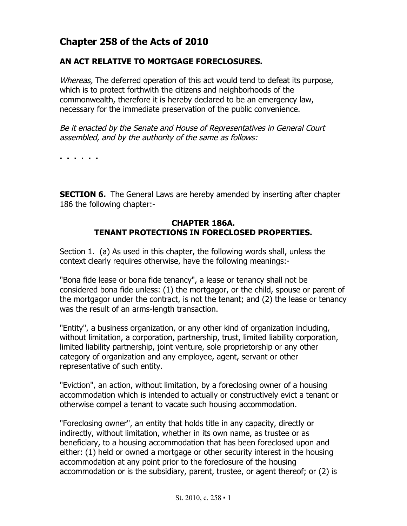# **Chapter 258 of the Acts of 2010**

## **AN ACT RELATIVE TO MORTGAGE FORECLOSURES.**

Whereas, The deferred operation of this act would tend to defeat its purpose, which is to protect forthwith the citizens and neighborhoods of the commonwealth, therefore it is hereby declared to be an emergency law, necessary for the immediate preservation of the public convenience.

Be it enacted by the Senate and House of Representatives in General Court assembled, and by the authority of the same as follows:

**. . . . . .**

**SECTION 6.** The General Laws are hereby amended by inserting after chapter 186 the following chapter:-

### **CHAPTER 186A. TENANT PROTECTIONS IN FORECLOSED PROPERTIES.**

Section 1. (a) As used in this chapter, the following words shall, unless the context clearly requires otherwise, have the following meanings:-

"Bona fide lease or bona fide tenancy", a lease or tenancy shall not be considered bona fide unless: (1) the mortgagor, or the child, spouse or parent of the mortgagor under the contract, is not the tenant; and (2) the lease or tenancy was the result of an arms-length transaction.

"Entity", a business organization, or any other kind of organization including, without limitation, a corporation, partnership, trust, limited liability corporation, limited liability partnership, joint venture, sole proprietorship or any other category of organization and any employee, agent, servant or other representative of such entity.

"Eviction", an action, without limitation, by a foreclosing owner of a housing accommodation which is intended to actually or constructively evict a tenant or otherwise compel a tenant to vacate such housing accommodation.

"Foreclosing owner", an entity that holds title in any capacity, directly or indirectly, without limitation, whether in its own name, as trustee or as beneficiary, to a housing accommodation that has been foreclosed upon and either: (1) held or owned a mortgage or other security interest in the housing accommodation at any point prior to the foreclosure of the housing accommodation or is the subsidiary, parent, trustee, or agent thereof; or (2) is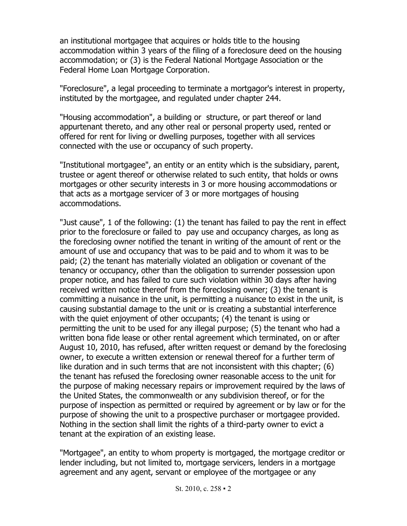an institutional mortgagee that acquires or holds title to the housing accommodation within 3 years of the filing of a foreclosure deed on the housing accommodation; or (3) is the Federal National Mortgage Association or the Federal Home Loan Mortgage Corporation.

"Foreclosure", a legal proceeding to terminate a mortgagor's interest in property, instituted by the mortgagee, and regulated under chapter 244.

"Housing accommodation", a building or structure, or part thereof or land appurtenant thereto, and any other real or personal property used, rented or offered for rent for living or dwelling purposes, together with all services connected with the use or occupancy of such property.

"Institutional mortgagee", an entity or an entity which is the subsidiary, parent, trustee or agent thereof or otherwise related to such entity, that holds or owns mortgages or other security interests in 3 or more housing accommodations or that acts as a mortgage servicer of 3 or more mortgages of housing accommodations.

"Just cause", 1 of the following: (1) the tenant has failed to pay the rent in effect prior to the foreclosure or failed to pay use and occupancy charges, as long as the foreclosing owner notified the tenant in writing of the amount of rent or the amount of use and occupancy that was to be paid and to whom it was to be paid; (2) the tenant has materially violated an obligation or covenant of the tenancy or occupancy, other than the obligation to surrender possession upon proper notice, and has failed to cure such violation within 30 days after having received written notice thereof from the foreclosing owner; (3) the tenant is committing a nuisance in the unit, is permitting a nuisance to exist in the unit, is causing substantial damage to the unit or is creating a substantial interference with the quiet enjoyment of other occupants; (4) the tenant is using or permitting the unit to be used for any illegal purpose; (5) the tenant who had a written bona fide lease or other rental agreement which terminated, on or after August 10, 2010, has refused, after written request or demand by the foreclosing owner, to execute a written extension or renewal thereof for a further term of like duration and in such terms that are not inconsistent with this chapter; (6) the tenant has refused the foreclosing owner reasonable access to the unit for the purpose of making necessary repairs or improvement required by the laws of the United States, the commonwealth or any subdivision thereof, or for the purpose of inspection as permitted or required by agreement or by law or for the purpose of showing the unit to a prospective purchaser or mortgagee provided. Nothing in the section shall limit the rights of a third-party owner to evict a tenant at the expiration of an existing lease.

"Mortgagee", an entity to whom property is mortgaged, the mortgage creditor or lender including, but not limited to, mortgage servicers, lenders in a mortgage agreement and any agent, servant or employee of the mortgagee or any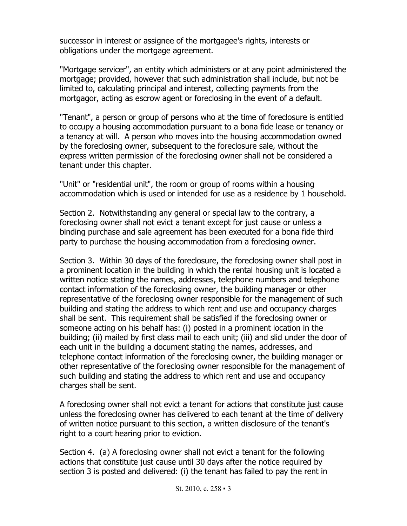successor in interest or assignee of the mortgagee's rights, interests or obligations under the mortgage agreement.

"Mortgage servicer", an entity which administers or at any point administered the mortgage; provided, however that such administration shall include, but not be limited to, calculating principal and interest, collecting payments from the mortgagor, acting as escrow agent or foreclosing in the event of a default.

"Tenant", a person or group of persons who at the time of foreclosure is entitled to occupy a housing accommodation pursuant to a bona fide lease or tenancy or a tenancy at will. A person who moves into the housing accommodation owned by the foreclosing owner, subsequent to the foreclosure sale, without the express written permission of the foreclosing owner shall not be considered a tenant under this chapter.

"Unit" or "residential unit", the room or group of rooms within a housing accommodation which is used or intended for use as a residence by 1 household.

Section 2. Notwithstanding any general or special law to the contrary, a foreclosing owner shall not evict a tenant except for just cause or unless a binding purchase and sale agreement has been executed for a bona fide third party to purchase the housing accommodation from a foreclosing owner.

Section 3. Within 30 days of the foreclosure, the foreclosing owner shall post in a prominent location in the building in which the rental housing unit is located a written notice stating the names, addresses, telephone numbers and telephone contact information of the foreclosing owner, the building manager or other representative of the foreclosing owner responsible for the management of such building and stating the address to which rent and use and occupancy charges shall be sent. This requirement shall be satisfied if the foreclosing owner or someone acting on his behalf has: (i) posted in a prominent location in the building; (ii) mailed by first class mail to each unit; (iii) and slid under the door of each unit in the building a document stating the names, addresses, and telephone contact information of the foreclosing owner, the building manager or other representative of the foreclosing owner responsible for the management of such building and stating the address to which rent and use and occupancy charges shall be sent.

A foreclosing owner shall not evict a tenant for actions that constitute just cause unless the foreclosing owner has delivered to each tenant at the time of delivery of written notice pursuant to this section, a written disclosure of the tenant's right to a court hearing prior to eviction.

Section 4. (a) A foreclosing owner shall not evict a tenant for the following actions that constitute just cause until 30 days after the notice required by section 3 is posted and delivered: (i) the tenant has failed to pay the rent in